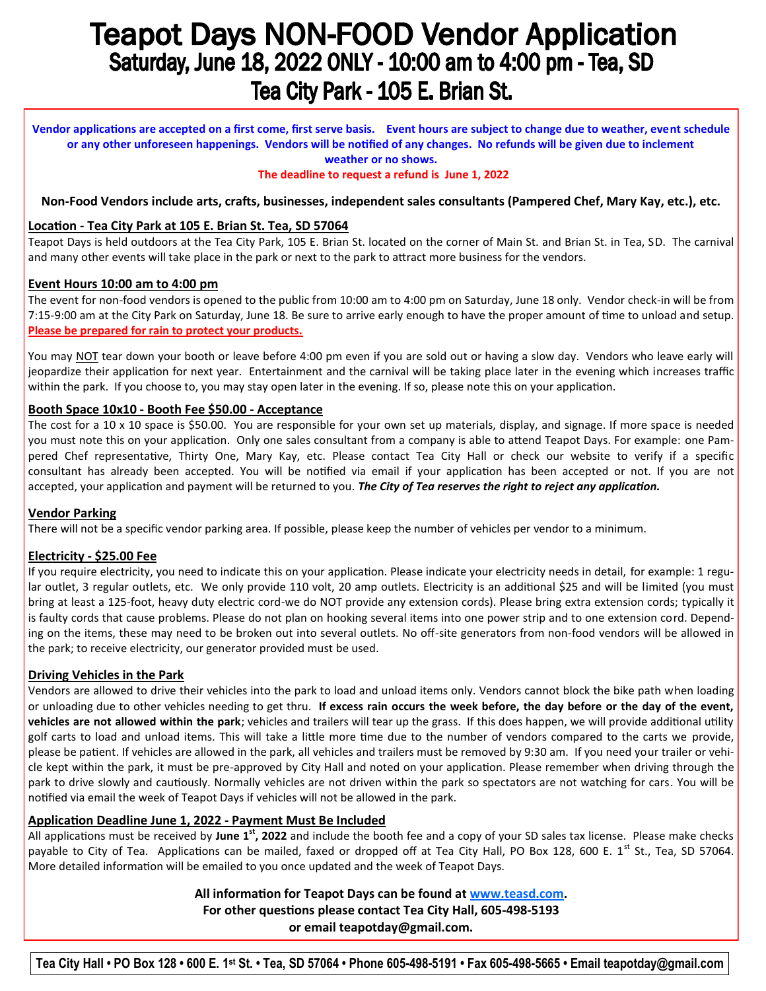# **Teapot Days NON-FOOD Vendor Application** Saturday, June 18, 2022 ONLY - 10:00 am to 4:00 pm - Tea, SD Tea City Park - 105 E. Brian St.

**Vendor applications are accepted on a first come, first serve basis. Event hours are subject to change due to weather, event schedule or any other unforeseen happenings. Vendors will be notified of any changes. No refunds will be given due to inclement weather or no shows.** 

## **The deadline to request a refund is June 1, 2022**

## **Non-Food Vendors include arts, crafts, businesses, independent sales consultants (Pampered Chef, Mary Kay, etc.), etc.**

## **Location - Tea City Park at 105 E. Brian St. Tea, SD 57064**

Teapot Days is held outdoors at the Tea City Park, 105 E. Brian St. located on the corner of Main St. and Brian St. in Tea, SD. The carnival and many other events will take place in the park or next to the park to attract more business for the vendors.

#### **Event Hours 10:00 am to 4:00 pm**

The event for non-food vendors is opened to the public from 10:00 am to 4:00 pm on Saturday, June 18 only. Vendor check-in will be from 7:15-9:00 am at the City Park on Saturday, June 18. Be sure to arrive early enough to have the proper amount of time to unload and setup. **Please be prepared for rain to protect your products.**

You may NOT tear down your booth or leave before 4:00 pm even if you are sold out or having a slow day. Vendors who leave early will jeopardize their application for next year. Entertainment and the carnival will be taking place later in the evening which increases traffic within the park. If you choose to, you may stay open later in the evening. If so, please note this on your application.

#### **Booth Space 10x10 - Booth Fee \$50.00 - Acceptance**

The cost for a 10 x 10 space is \$50.00. You are responsible for your own set up materials, display, and signage. If more space is needed you must note this on your application. Only one sales consultant from a company is able to attend Teapot Days. For example: one Pampered Chef representative, Thirty One, Mary Kay, etc. Please contact Tea City Hall or check our website to verify if a specific consultant has already been accepted. You will be notified via email if your application has been accepted or not. If you are not accepted, your application and payment will be returned to you. *The City of Tea reserves the right to reject any application.* 

#### **Vendor Parking**

There will not be a specific vendor parking area. If possible, please keep the number of vehicles per vendor to a minimum.

## **Electricity - \$25.00 Fee**

If you require electricity, you need to indicate this on your application. Please indicate your electricity needs in detail, for example: 1 regular outlet, 3 regular outlets, etc. We only provide 110 volt, 20 amp outlets. Electricity is an additional \$25 and will be limited (you must bring at least a 125-foot, heavy duty electric cord-we do NOT provide any extension cords). Please bring extra extension cords; typically it is faulty cords that cause problems. Please do not plan on hooking several items into one power strip and to one extension cord. Depending on the items, these may need to be broken out into several outlets. No off-site generators from non-food vendors will be allowed in the park; to receive electricity, our generator provided must be used.

## **Driving Vehicles in the Park**

Vendors are allowed to drive their vehicles into the park to load and unload items only. Vendors cannot block the bike path when loading or unloading due to other vehicles needing to get thru. **If excess rain occurs the week before, the day before or the day of the event, vehicles are not allowed within the park**; vehicles and trailers will tear up the grass. If this does happen, we will provide additional utility golf carts to load and unload items. This will take a little more time due to the number of vendors compared to the carts we provide, please be patient. If vehicles are allowed in the park, all vehicles and trailers must be removed by 9:30 am. If you need your trailer or vehicle kept within the park, it must be pre-approved by City Hall and noted on your application. Please remember when driving through the park to drive slowly and cautiously. Normally vehicles are not driven within the park so spectators are not watching for cars. You will be notified via email the week of Teapot Days if vehicles will not be allowed in the park.

## **Application Deadline June 1, 2022 - Payment Must Be Included**

All applications must be received by **June 1st, 2022** and include the booth fee and a copy of your SD sales tax license. Please make checks payable to City of Tea. Applications can be mailed, faxed or dropped off at Tea City Hall, PO Box 128, 600 E. 1<sup>st</sup> St., Tea, SD 57064. More detailed information will be emailed to you once updated and the week of Teapot Days.

> **All information for Teapot Days can be found at [www.teasd.com.](http://www.teasd.com/)  For other questions please contact Tea City Hall, 605-498-5193 or email [teapotday@gmail.com.](mailto:cityoftea2@iw.net)**

**Tea City Hall • PO Box 128 • 600 E. 1st St. • Tea, SD 57064 • Phone 605-498-5191 • Fax 605-498-5665 • Email teapotday@gmail.com**